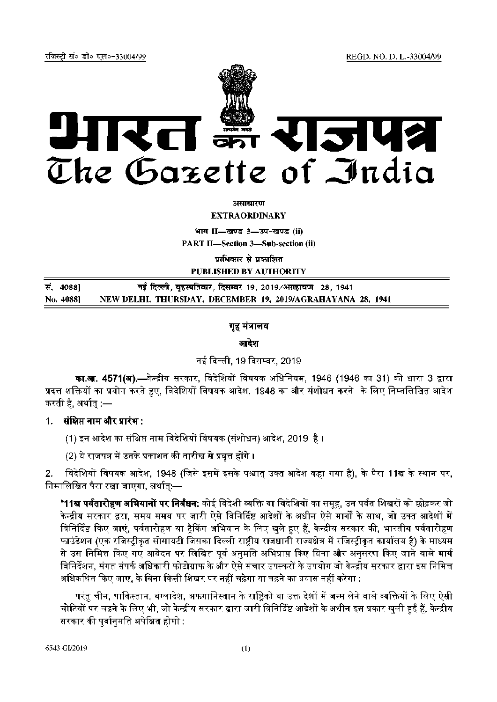REGD. NO. D. L.-33004/99

रजिस्टी सं० डी० एल०-33004/99



असाधारण

**EXTRAORDINARY** 

भाग II-खण्ड 3-उप-खण्ड (ii)

**PART II-Section 3-Sub-section (ii)** 

प्राधिकार से प्रकाशित

PUBLISHED BY AUTHORITY

| सं. 40881 | नई दिल्ली, बृहस्पतिवार, दिसम्बर 19, 2019/अग्रहायण   28, 1941 |
|-----------|--------------------------------------------------------------|
| No. 4088] | NEW DELHI, THURSDAY, DECEMBER 19, 2019/AGRAHAYANA 28, 1941   |

# गृह मंत्रालय

आदेश

# नई दिल्ली, 19 दिसम्बर, 2019

**का.आ. 4571(अ),—**केन्द्रीय सरकार, विदेशियों विषयक अधिनियम, 1946 (1946 का 31) की धारा 3 द्वारा प्रदत्त शक्तियों का प्रयोग करते हुए. विदेशियों विषयक आदेश, 1948 का और संशोधन करने के लिए निम्नलिखित आदेश करती है, अर्थात् :—

1. संक्षिप्त नाम और प्रारंभ :

(1) इन आदेश का संक्षिप्त नाम विदेशियों विषयक (संशोधन) आदेश, 2019 है ।

(2) ये राजपत्र में उनके प्रकाशन की तारीख से प्रवृत्त होंगे ।

विदेशियों विषयक आदेश, 1948 (जिसे इसमें इसके पश्चात् उक्त आदेश कहा गया है), के पैरा 11ख के स्थान पर,  $2<sub>1</sub>$ निम्नलिखित पैरा रखा जाएगा, अर्थात:—

**"11ख पर्वतारोहण अभियानों पर निर्बंधन:** कोई विदेशी व्यक्ति या विदेशियों का समुह, उन पर्वत शिखरों को छोड़कर जो केन्द्रीय सरकार द्वरा, समय समय पर जारी ऐसे विनिर्दिष्ट आदेशों के अधीन ऐसे मार्गों के साथ, जो उक्त आदेशों में विनिर्दिष्ट किए जाएं, पर्वतारोहण या ट्रैकिंग अभियान के लिए खुले हुए हैं, केन्द्रीय सरकार की, भारतीय पर्वतारोहण फाउंडेशन (एक रजिस्टीकृत सोसायटी जिसका दिल्ली राष्टीय राजधानी राज्यक्षेत्र में रजिस्टीकृत कार्यालय है) के माध्यम से उस निमित्त किए गए आवेदन पर लिखित पूर्व अनुमति अभिप्राप्त किए बिना और अनुसरण किए जाने वाले मार्ग विनिर्देशन, संगत संपर्क अधिकारी फोटोग्राफ के और ऐसे संचार उपस्करों के उपयोग जो केन्द्रीय सरकार द्वारा इस निमित्त अधिकथित किए जाए, के बिना किसी शिखर पर नहीं चढ़ेगा या चढ़ने का प्रयास नहीं करेगा :

परंतु चीन, पाकिस्तान, बंग्लादेश, अफगानिस्तान के राष्टिकों या उक्त देशों में जन्म लेने वाले व्यक्तियों के लिए ऐसी चोटियों पर चढ़ने के लिए भी, जो केन्द्रीय सरकार द्वारा जारी विनिर्दिष्ट आदेशों के अधीन इस प्रकार खली हुईं हैं, केन्द्रीय सरकार की पर्वानमति अपेक्षित होगी :